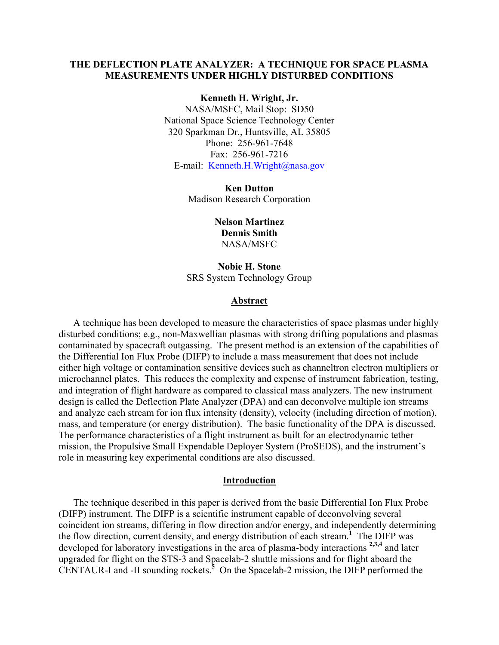# **THE DEFLECTION PLATE ANALYZER: A TECHNIQUE FOR SPACE PLASMA MEASUREMENTS UNDER HIGHLY DISTURBED CONDITIONS**

#### **Kenneth H. Wright, Jr.**

NASA/MSFC, Mail Stop: SD50 National Space Science Technology Center 320 Sparkman Dr., Huntsville, AL 35805 Phone: 256-961-7648 Fax: 256-961-7216 E-mail: [Kenneth.H.Wright@nasa.gov](mailto:Kenneth.H.Wright@nasa.gov)

> **Ken Dutton**  Madison Research Corporation

> > **Nelson Martinez Dennis Smith**  NASA/MSFC

**Nobie H. Stone**  SRS System Technology Group

#### **Abstract**

A technique has been developed to measure the characteristics of space plasmas under highly disturbed conditions; e.g., non-Maxwellian plasmas with strong drifting populations and plasmas contaminated by spacecraft outgassing. The present method is an extension of the capabilities of the Differential Ion Flux Probe (DIFP) to include a mass measurement that does not include either high voltage or contamination sensitive devices such as channeltron electron multipliers or microchannel plates. This reduces the complexity and expense of instrument fabrication, testing, and integration of flight hardware as compared to classical mass analyzers. The new instrument design is called the Deflection Plate Analyzer (DPA) and can deconvolve multiple ion streams and analyze each stream for ion flux intensity (density), velocity (including direction of motion), mass, and temperature (or energy distribution). The basic functionality of the DPA is discussed. The performance characteristics of a flight instrument as built for an electrodynamic tether mission, the Propulsive Small Expendable Deployer System (ProSEDS), and the instrument's role in measuring key experimental conditions are also discussed.

## **Introduction**

The technique described in this paper is derived from the basic Differential Ion Flux Probe (DIFP) instrument. The DIFP is a scientific instrument capable of deconvolving several coincident ion streams, differing in flow direction and/or energy, and independently determining the flow direction, current density, and energy distribution of each stream.**<sup>1</sup>** The DIFP was developed for laboratory investigations in the area of plasma-body interactions **2,3,4** and later upgraded for flight on the STS-3 and Spacelab-2 shuttle missions and for flight aboard the CENTAUR-I and -II sounding rockets. $\frac{3}{5}$  On the Spacelab-2 mission, the DIFP performed the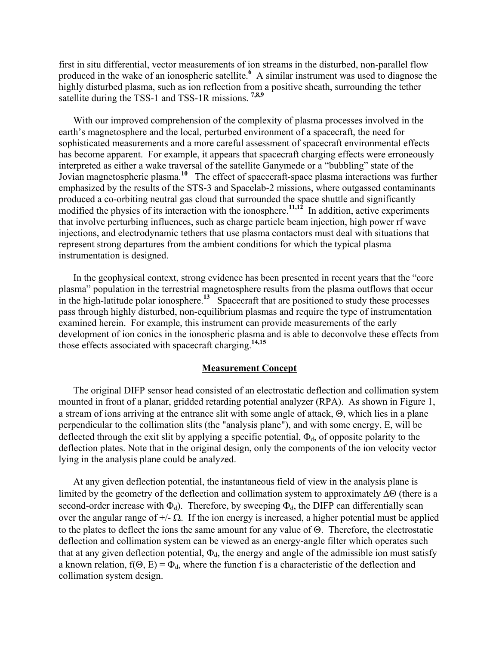first in situ differential, vector measurements of ion streams in the disturbed, non-parallel flow produced in the wake of an ionospheric satellite.**<sup>6</sup>** A similar instrument was used to diagnose the highly disturbed plasma, such as ion reflection from a positive sheath, surrounding the tether satellite during the TSS-1 and TSS-1R missions. **7,8,9**

With our improved comprehension of the complexity of plasma processes involved in the earth's magnetosphere and the local, perturbed environment of a spacecraft, the need for sophisticated measurements and a more careful assessment of spacecraft environmental effects has become apparent. For example, it appears that spacecraft charging effects were erroneously interpreted as either a wake traversal of the satellite Ganymede or a "bubbling" state of the Jovian magnetospheric plasma.**<sup>10</sup>** The effect of spacecraft-space plasma interactions was further emphasized by the results of the STS-3 and Spacelab-2 missions, where outgassed contaminants produced a co-orbiting neutral gas cloud that surrounded the space shuttle and significantly modified the physics of its interaction with the ionosphere.<sup>11,12</sup> In addition, active experiments that involve perturbing influences, such as charge particle beam injection, high power rf wave injections, and electrodynamic tethers that use plasma contactors must deal with situations that represent strong departures from the ambient conditions for which the typical plasma instrumentation is designed.

In the geophysical context, strong evidence has been presented in recent years that the "core plasma" population in the terrestrial magnetosphere results from the plasma outflows that occur in the high-latitude polar ionosphere.<sup>13</sup> Spacecraft that are positioned to study these processes pass through highly disturbed, non-equilibrium plasmas and require the type of instrumentation examined herein. For example, this instrument can provide measurements of the early development of ion conics in the ionospheric plasma and is able to deconvolve these effects from those effects associated with spacecraft charging.**14,15**

### **Measurement Concept**

The original DIFP sensor head consisted of an electrostatic deflection and collimation system mounted in front of a planar, gridded retarding potential analyzer (RPA). As shown in Figure 1, a stream of ions arriving at the entrance slit with some angle of attack, Θ, which lies in a plane perpendicular to the collimation slits (the "analysis plane"), and with some energy, E, will be deflected through the exit slit by applying a specific potential,  $\Phi_d$ , of opposite polarity to the deflection plates. Note that in the original design, only the components of the ion velocity vector lying in the analysis plane could be analyzed.

At any given deflection potential, the instantaneous field of view in the analysis plane is limited by the geometry of the deflection and collimation system to approximately ∆Θ (there is a second-order increase with  $\Phi_d$ ). Therefore, by sweeping  $\Phi_d$ , the DIFP can differentially scan over the angular range of  $\pm$ /-  $\Omega$ . If the ion energy is increased, a higher potential must be applied to the plates to deflect the ions the same amount for any value of Θ. Therefore, the electrostatic deflection and collimation system can be viewed as an energy-angle filter which operates such that at any given deflection potential,  $\Phi_d$ , the energy and angle of the admissible ion must satisfy a known relation,  $f(\Theta, E) = \Phi_d$ , where the function f is a characteristic of the deflection and collimation system design.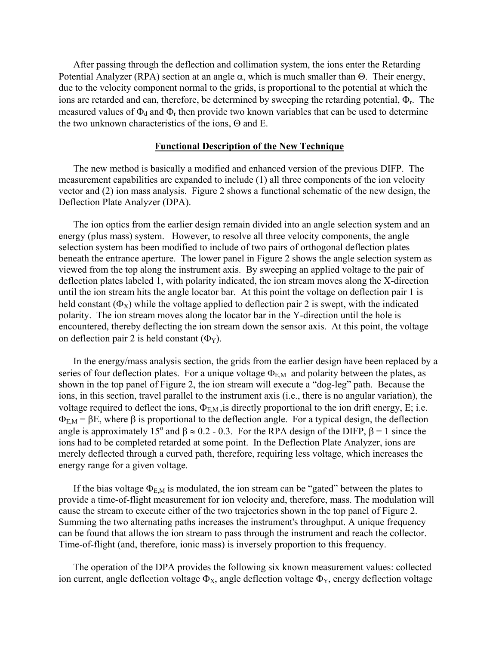After passing through the deflection and collimation system, the ions enter the Retarding Potential Analyzer (RPA) section at an angle  $\alpha$ , which is much smaller than  $\Theta$ . Their energy, due to the velocity component normal to the grids, is proportional to the potential at which the ions are retarded and can, therefore, be determined by sweeping the retarding potential,  $\Phi_{r}$ . The measured values of  $\Phi_d$  and  $\Phi_r$  then provide two known variables that can be used to determine the two unknown characteristics of the ions, Θ and E.

## **Functional Description of the New Technique**

The new method is basically a modified and enhanced version of the previous DIFP. The measurement capabilities are expanded to include (1) all three components of the ion velocity vector and (2) ion mass analysis. Figure 2 shows a functional schematic of the new design, the Deflection Plate Analyzer (DPA).

The ion optics from the earlier design remain divided into an angle selection system and an energy (plus mass) system. However, to resolve all three velocity components, the angle selection system has been modified to include of two pairs of orthogonal deflection plates beneath the entrance aperture. The lower panel in Figure 2 shows the angle selection system as viewed from the top along the instrument axis. By sweeping an applied voltage to the pair of deflection plates labeled 1, with polarity indicated, the ion stream moves along the X-direction until the ion stream hits the angle locator bar. At this point the voltage on deflection pair 1 is held constant  $(\Phi_X)$  while the voltage applied to deflection pair 2 is swept, with the indicated polarity. The ion stream moves along the locator bar in the Y-direction until the hole is encountered, thereby deflecting the ion stream down the sensor axis. At this point, the voltage on deflection pair 2 is held constant  $(\Phi_{Y})$ .

In the energy/mass analysis section, the grids from the earlier design have been replaced by a series of four deflection plates. For a unique voltage  $\Phi_{EM}$  and polarity between the plates, as shown in the top panel of Figure 2, the ion stream will execute a "dog-leg" path. Because the ions, in this section, travel parallel to the instrument axis (i.e., there is no angular variation), the voltage required to deflect the ions,  $\Phi_{EM}$ , is directly proportional to the ion drift energy, E; i.e.  $\Phi_{EM}$  = βE, where β is proportional to the deflection angle. For a typical design, the deflection angle is approximately 15<sup>o</sup> and  $\beta \approx 0.2$  - 0.3. For the RPA design of the DIFP,  $\beta = 1$  since the ions had to be completed retarded at some point. In the Deflection Plate Analyzer, ions are merely deflected through a curved path, therefore, requiring less voltage, which increases the energy range for a given voltage.

If the bias voltage  $\Phi_{EM}$  is modulated, the ion stream can be "gated" between the plates to provide a time-of-flight measurement for ion velocity and, therefore, mass. The modulation will cause the stream to execute either of the two trajectories shown in the top panel of Figure 2. Summing the two alternating paths increases the instrument's throughput. A unique frequency can be found that allows the ion stream to pass through the instrument and reach the collector. Time-of-flight (and, therefore, ionic mass) is inversely proportion to this frequency.

The operation of the DPA provides the following six known measurement values: collected ion current, angle deflection voltage  $\Phi_X$ , angle deflection voltage  $\Phi_Y$ , energy deflection voltage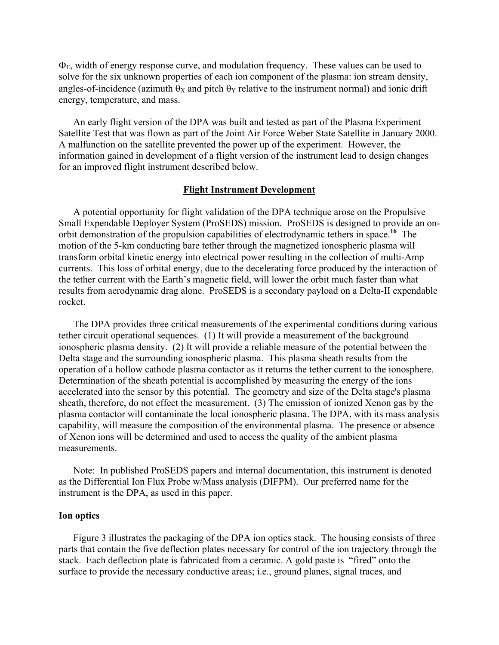$\Phi_{\rm E}$ , width of energy response curve, and modulation frequency. These values can be used to solve for the six unknown properties of each ion component of the plasma: ion stream density, angles-of-incidence (azimuth  $\theta_X$  and pitch  $\theta_Y$  relative to the instrument normal) and ionic drift energy, temperature, and mass.

An early flight version of the DPA was built and tested as part of the Plasma Experiment Satellite Test that was flown as part of the Joint Air Force Weber State Satellite in January 2000. A malfunction on the satellite prevented the power up of the experiment. However, the information gained in development of a flight version of the instrument lead to design changes for an improved flight instrument described below.

## **Flight Instrument Development**

A potential opportunity for flight validation of the DPA technique arose on the Propulsive Small Expendable Deployer System (ProSEDS) mission. ProSEDS is designed to provide an onorbit demonstration of the propulsion capabilities of electrodynamic tethers in space.**<sup>16</sup>** The motion of the 5-km conducting bare tether through the magnetized ionospheric plasma will transform orbital kinetic energy into electrical power resulting in the collection of multi-Amp currents. This loss of orbital energy, due to the decelerating force produced by the interaction of the tether current with the Earth's magnetic field, will lower the orbit much faster than what results from aerodynamic drag alone. ProSEDS is a secondary payload on a Delta-II expendable rocket.

The DPA provides three critical measurements of the experimental conditions during various tether circuit operational sequences. (1) It will provide a measurement of the background ionospheric plasma density. (2) It will provide a reliable measure of the potential between the Delta stage and the surrounding ionospheric plasma. This plasma sheath results from the operation of a hollow cathode plasma contactor as it returns the tether current to the ionosphere. Determination of the sheath potential is accomplished by measuring the energy of the ions accelerated into the sensor by this potential. The geometry and size of the Delta stage's plasma sheath, therefore, do not effect the measurement. (3) The emission of ionized Xenon gas by the plasma contactor will contaminate the local ionospheric plasma. The DPA, with its mass analysis capability, will measure the composition of the environmental plasma. The presence or absence of Xenon ions will be determined and used to access the quality of the ambient plasma measurements.

Note: In published ProSEDS papers and internal documentation, this instrument is denoted as the Differential Ion Flux Probe w/Mass analysis (DIFPM). Our preferred name for the instrument is the DPA, as used in this paper.

## **Ion optics**

Figure 3 illustrates the packaging of the DPA ion optics stack. The housing consists of three parts that contain the five deflection plates necessary for control of the ion trajectory through the stack. Each deflection plate is fabricated from a ceramic. A gold paste is "fired" onto the surface to provide the necessary conductive areas; i.e., ground planes, signal traces, and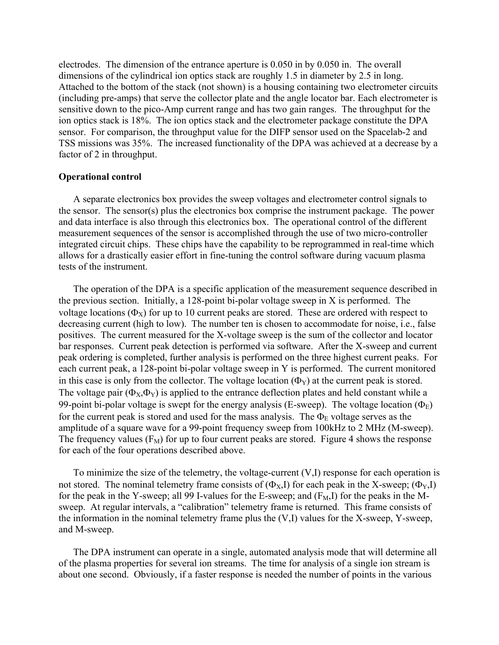electrodes. The dimension of the entrance aperture is 0.050 in by 0.050 in. The overall dimensions of the cylindrical ion optics stack are roughly 1.5 in diameter by 2.5 in long. Attached to the bottom of the stack (not shown) is a housing containing two electrometer circuits (including pre-amps) that serve the collector plate and the angle locator bar. Each electrometer is sensitive down to the pico-Amp current range and has two gain ranges. The throughput for the ion optics stack is 18%. The ion optics stack and the electrometer package constitute the DPA sensor. For comparison, the throughput value for the DIFP sensor used on the Spacelab-2 and TSS missions was 35%. The increased functionality of the DPA was achieved at a decrease by a factor of 2 in throughput.

## **Operational control**

A separate electronics box provides the sweep voltages and electrometer control signals to the sensor. The sensor(s) plus the electronics box comprise the instrument package. The power and data interface is also through this electronics box. The operational control of the different measurement sequences of the sensor is accomplished through the use of two micro-controller integrated circuit chips. These chips have the capability to be reprogrammed in real-time which allows for a drastically easier effort in fine-tuning the control software during vacuum plasma tests of the instrument.

The operation of the DPA is a specific application of the measurement sequence described in the previous section. Initially, a 128-point bi-polar voltage sweep in X is performed. The voltage locations  $(\Phi_X)$  for up to 10 current peaks are stored. These are ordered with respect to decreasing current (high to low). The number ten is chosen to accommodate for noise, i.e., false positives. The current measured for the X-voltage sweep is the sum of the collector and locator bar responses. Current peak detection is performed via software. After the X-sweep and current peak ordering is completed, further analysis is performed on the three highest current peaks. For each current peak, a 128-point bi-polar voltage sweep in Y is performed. The current monitored in this case is only from the collector. The voltage location  $(\Phi_Y)$  at the current peak is stored. The voltage pair  $(\Phi_X, \Phi_Y)$  is applied to the entrance deflection plates and held constant while a 99-point bi-polar voltage is swept for the energy analysis (E-sweep). The voltage location ( $\Phi_{\rm E}$ ) for the current peak is stored and used for the mass analysis. The  $\Phi_{\rm E}$  voltage serves as the amplitude of a square wave for a 99-point frequency sweep from 100kHz to 2 MHz (M-sweep). The frequency values  $(F_M)$  for up to four current peaks are stored. Figure 4 shows the response for each of the four operations described above.

To minimize the size of the telemetry, the voltage-current (V,I) response for each operation is not stored. The nominal telemetry frame consists of  $(\Phi_X, I)$  for each peak in the X-sweep;  $(\Phi_Y, I)$ for the peak in the Y-sweep; all 99 I-values for the E-sweep; and  $(F_M, I)$  for the peaks in the Msweep. At regular intervals, a "calibration" telemetry frame is returned. This frame consists of the information in the nominal telemetry frame plus the (V,I) values for the X-sweep, Y-sweep, and M-sweep.

The DPA instrument can operate in a single, automated analysis mode that will determine all of the plasma properties for several ion streams. The time for analysis of a single ion stream is about one second. Obviously, if a faster response is needed the number of points in the various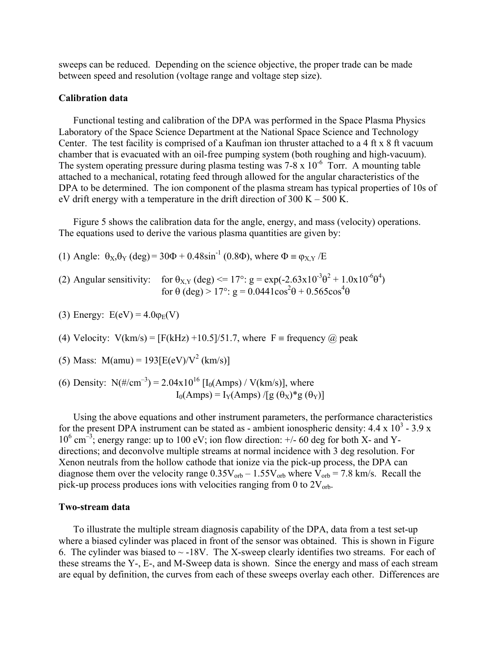sweeps can be reduced. Depending on the science objective, the proper trade can be made between speed and resolution (voltage range and voltage step size).

## **Calibration data**

Functional testing and calibration of the DPA was performed in the Space Plasma Physics Laboratory of the Space Science Department at the National Space Science and Technology Center. The test facility is comprised of a Kaufman ion thruster attached to a 4 ft x 8 ft vacuum chamber that is evacuated with an oil-free pumping system (both roughing and high-vacuum). The system operating pressure during plasma testing was  $7\text{-}8 \times 10^{-6}$  Torr. A mounting table attached to a mechanical, rotating feed through allowed for the angular characteristics of the DPA to be determined. The ion component of the plasma stream has typical properties of 10s of eV drift energy with a temperature in the drift direction of  $300 \text{ K} - 500 \text{ K}$ .

Figure 5 shows the calibration data for the angle, energy, and mass (velocity) operations. The equations used to derive the various plasma quantities are given by:

(1) Angle:  $\theta_x \cdot \theta_y$  (deg) = 30 $\Phi$  + 0.48sin<sup>-1</sup> (0.8 $\Phi$ ), where  $\Phi = \phi_{xy}/E$ 

(2) Angular sensitivity: for  $\theta_{X,Y}$  (deg)  $\leq 17^{\circ}$ : g = exp(-2.63x10<sup>-3</sup> $\theta^2$  + 1.0x10<sup>-6</sup> $\theta^4$ )  $for θ (deg) > 17°: g = 0.0441cos<sup>2</sup>θ + 0.565cos<sup>4</sup>θ$ 

(3) Energy: 
$$
E(eV) = 4.0 \varphi_E(V)
$$

(4) Velocity: V(km/s) =  $[F(kHz) + 10.5]/51.7$ , where  $F \equiv$  frequency  $\omega$  peak

(5) Mass: M(amu) = 
$$
193[E(eV)/V^2(km/s)]
$$

(6) Density:  $N(\frac{\mu}{cm^{-3}}) = 2.04 \times 10^{16}$  [I<sub>0</sub>(Amps) / V(km/s)], where  $I_0(Amps) = I_Y(Amps) / [g (\theta_X)^* g (\theta_Y)]$ 

Using the above equations and other instrument parameters, the performance characteristics for the present DPA instrument can be stated as - ambient ionospheric density:  $4.4 \times 10^3$  -  $3.9 \times$  $10^6$  cm<sup>-3</sup>; energy range: up to 100 eV; ion flow direction:  $\pm$ /- 60 deg for both X- and Ydirections; and deconvolve multiple streams at normal incidence with 3 deg resolution. For Xenon neutrals from the hollow cathode that ionize via the pick-up process, the DPA can diagnose them over the velocity range  $0.35V_{\text{orb}} - 1.55V_{\text{orb}}$  where  $V_{\text{orb}} = 7.8$  km/s. Recall the pick-up process produces ions with velocities ranging from 0 to  $2V_{\text{orb}}$ .

### **Two-stream data**

To illustrate the multiple stream diagnosis capability of the DPA, data from a test set-up where a biased cylinder was placed in front of the sensor was obtained. This is shown in Figure 6. The cylinder was biased to  $\sim$  -18V. The X-sweep clearly identifies two streams. For each of these streams the Y-, E-, and M-Sweep data is shown. Since the energy and mass of each stream are equal by definition, the curves from each of these sweeps overlay each other. Differences are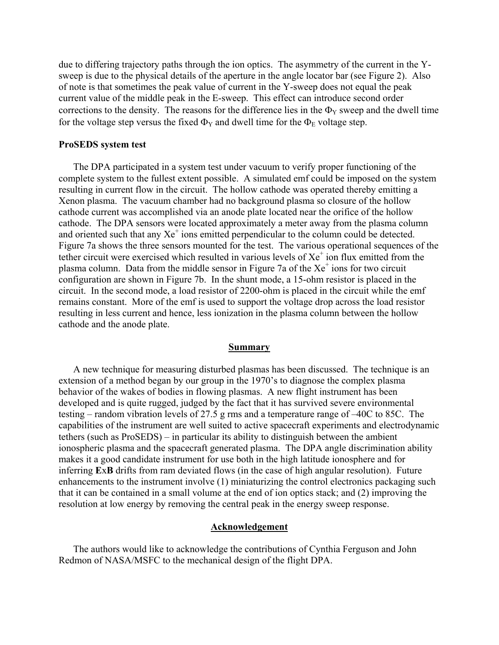due to differing trajectory paths through the ion optics. The asymmetry of the current in the Ysweep is due to the physical details of the aperture in the angle locator bar (see Figure 2). Also of note is that sometimes the peak value of current in the Y-sweep does not equal the peak current value of the middle peak in the E-sweep. This effect can introduce second order corrections to the density. The reasons for the difference lies in the  $\Phi_Y$  sweep and the dwell time for the voltage step versus the fixed  $\Phi_Y$  and dwell time for the  $\Phi_E$  voltage step.

### **ProSEDS system test**

The DPA participated in a system test under vacuum to verify proper functioning of the complete system to the fullest extent possible. A simulated emf could be imposed on the system resulting in current flow in the circuit. The hollow cathode was operated thereby emitting a Xenon plasma. The vacuum chamber had no background plasma so closure of the hollow cathode current was accomplished via an anode plate located near the orifice of the hollow cathode. The DPA sensors were located approximately a meter away from the plasma column and oriented such that any  $Xe^+$  ions emitted perpendicular to the column could be detected. Figure 7a shows the three sensors mounted for the test. The various operational sequences of the tether circuit were exercised which resulted in various levels of  $Xe^+$  ion flux emitted from the plasma column. Data from the middle sensor in Figure 7a of the  $Xe^+$  ions for two circuit configuration are shown in Figure 7b. In the shunt mode, a 15-ohm resistor is placed in the circuit. In the second mode, a load resistor of 2200-ohm is placed in the circuit while the emf remains constant. More of the emf is used to support the voltage drop across the load resistor resulting in less current and hence, less ionization in the plasma column between the hollow cathode and the anode plate.

#### **Summary**

A new technique for measuring disturbed plasmas has been discussed. The technique is an extension of a method began by our group in the 1970's to diagnose the complex plasma behavior of the wakes of bodies in flowing plasmas. A new flight instrument has been developed and is quite rugged, judged by the fact that it has survived severe environmental testing – random vibration levels of 27.5 g rms and a temperature range of –40C to 85C. The capabilities of the instrument are well suited to active spacecraft experiments and electrodynamic tethers (such as ProSEDS) – in particular its ability to distinguish between the ambient ionospheric plasma and the spacecraft generated plasma. The DPA angle discrimination ability makes it a good candidate instrument for use both in the high latitude ionosphere and for inferring **E**x**B** drifts from ram deviated flows (in the case of high angular resolution). Future enhancements to the instrument involve (1) miniaturizing the control electronics packaging such that it can be contained in a small volume at the end of ion optics stack; and (2) improving the resolution at low energy by removing the central peak in the energy sweep response.

#### **Acknowledgement**

The authors would like to acknowledge the contributions of Cynthia Ferguson and John Redmon of NASA/MSFC to the mechanical design of the flight DPA.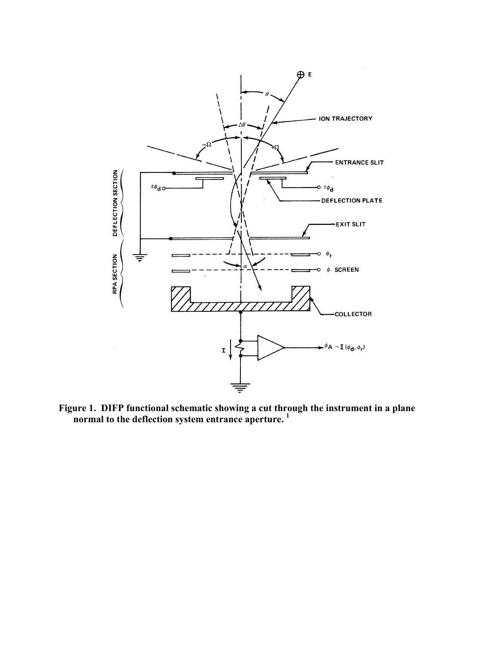

**Figure 1. DIFP functional schematic showing a cut through the instrument in a plane normal to the deflection system entrance aperture. 1**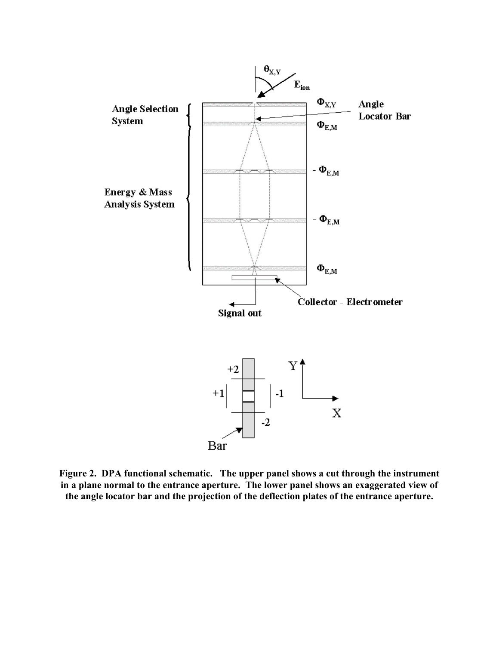

**Figure 2. DPA functional schematic. The upper panel shows a cut through the instrument in a plane normal to the entrance aperture. The lower panel shows an exaggerated view of the angle locator bar and the projection of the deflection plates of the entrance aperture.**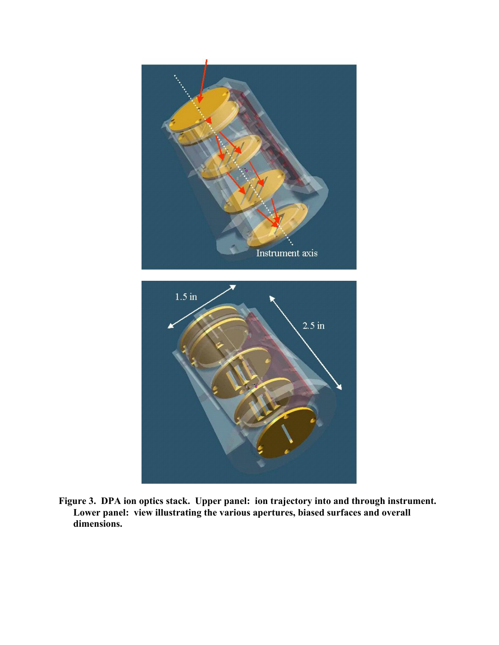



**Figure 3. DPA ion optics stack. Upper panel: ion trajectory into and through instrument. Lower panel: view illustrating the various apertures, biased surfaces and overall dimensions.**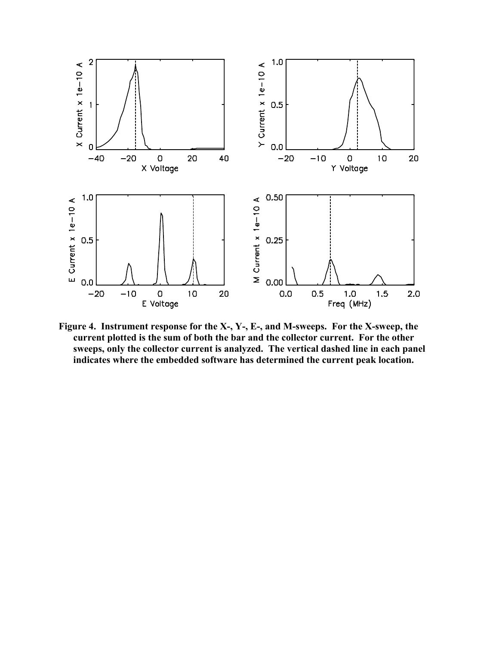

**Figure 4. Instrument response for the X-, Y-, E-, and M-sweeps. For the X-sweep, the current plotted is the sum of both the bar and the collector current. For the other sweeps, only the collector current is analyzed. The vertical dashed line in each panel indicates where the embedded software has determined the current peak location.**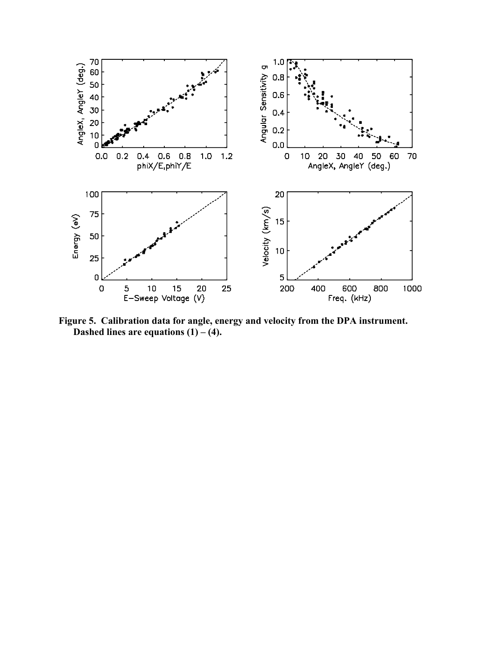

**Figure 5. Calibration data for angle, energy and velocity from the DPA instrument. Dashed lines are equations**  $(1) - (4)$ **.**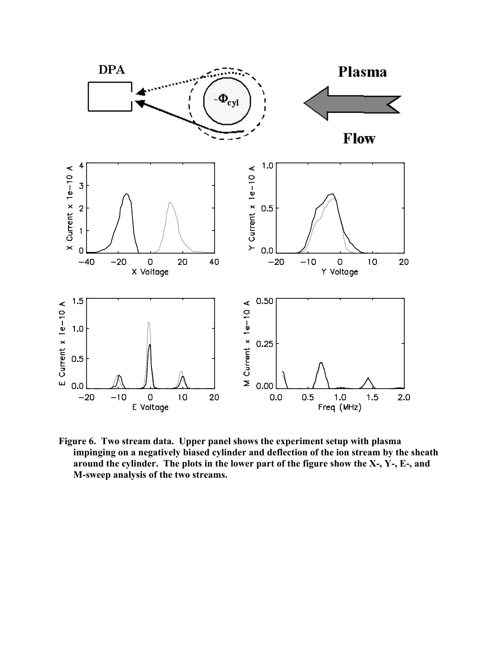

**Figure 6. Two stream data. Upper panel shows the experiment setup with plasma impinging on a negatively biased cylinder and deflection of the ion stream by the sheath around the cylinder. The plots in the lower part of the figure show the X-, Y-, E-, and M-sweep analysis of the two streams.**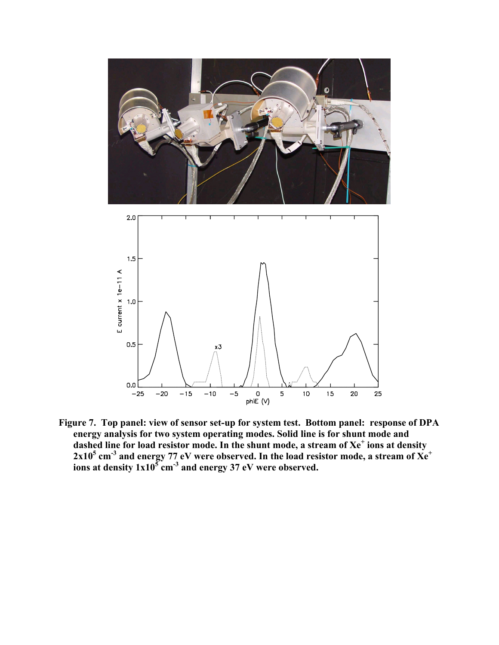

**Figure 7. Top panel: view of sensor set-up for system test. Bottom panel: response of DPA energy analysis for two system operating modes. Solid line is for shunt mode and**  dashed line for load resistor mode. In the shunt mode, a stream of Xe<sup>+</sup> ions at density  $2x10^5$  cm<sup>-3</sup> and energy 77 eV were observed. In the load resistor mode, a stream of  $\mathrm{Xe}^+$ ions at density 1x10<sup>5</sup> cm<sup>-3</sup> and energy 37 eV were observed.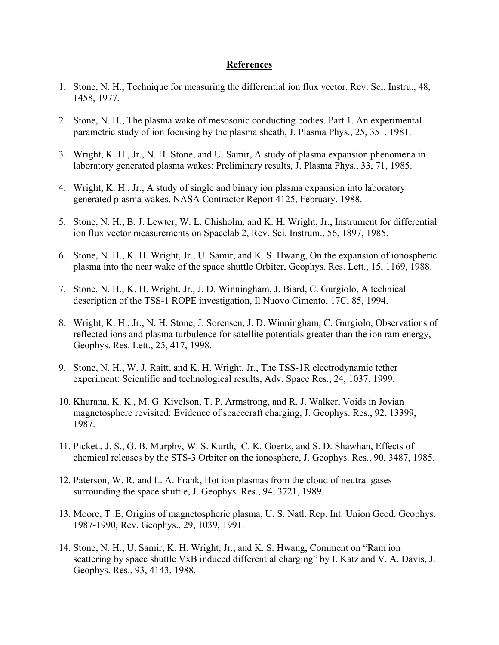# **References**

- 1. Stone, N. H., Technique for measuring the differential ion flux vector, Rev. Sci. Instru., 48, 1458, 1977.
- 2. Stone, N. H., The plasma wake of mesosonic conducting bodies. Part 1. An experimental parametric study of ion focusing by the plasma sheath, J. Plasma Phys., 25, 351, 1981.
- 3. Wright, K. H., Jr., N. H. Stone, and U. Samir, A study of plasma expansion phenomena in laboratory generated plasma wakes: Preliminary results, J. Plasma Phys., 33, 71, 1985.
- 4. Wright, K. H., Jr., A study of single and binary ion plasma expansion into laboratory generated plasma wakes, NASA Contractor Report 4125, February, 1988.
- 5. Stone, N. H., B. J. Lewter, W. L. Chisholm, and K. H. Wright, Jr., Instrument for differential ion flux vector measurements on Spacelab 2, Rev. Sci. Instrum., 56, 1897, 1985.
- 6. Stone, N. H., K. H. Wright, Jr., U. Samir, and K. S. Hwang, On the expansion of ionospheric plasma into the near wake of the space shuttle Orbiter, Geophys. Res. Lett., 15, 1169, 1988.
- 7. Stone, N. H., K. H. Wright, Jr., J. D. Winningham, J. Biard, C. Gurgiolo, A technical description of the TSS-1 ROPE investigation, Il Nuovo Cimento, 17C, 85, 1994.
- 8. Wright, K. H., Jr., N. H. Stone, J. Sorensen, J. D. Winningham, C. Gurgiolo, Observations of reflected ions and plasma turbulence for satellite potentials greater than the ion ram energy, Geophys. Res. Lett., 25, 417, 1998.
- 9. Stone, N. H., W. J. Raitt, and K. H. Wright, Jr., The TSS-1R electrodynamic tether experiment: Scientific and technological results, Adv. Space Res., 24, 1037, 1999.
- 10. Khurana, K. K., M. G. Kivelson, T. P. Armstrong, and R. J. Walker, Voids in Jovian magnetosphere revisited: Evidence of spacecraft charging, J. Geophys. Res., 92, 13399, 1987.
- 11. Pickett, J. S., G. B. Murphy, W. S. Kurth, C. K. Goertz, and S. D. Shawhan, Effects of chemical releases by the STS-3 Orbiter on the ionosphere, J. Geophys. Res., 90, 3487, 1985.
- 12. Paterson, W. R. and L. A. Frank, Hot ion plasmas from the cloud of neutral gases surrounding the space shuttle, J. Geophys. Res., 94, 3721, 1989.
- 13. Moore, T .E, Origins of magnetospheric plasma, U. S. Natl. Rep. Int. Union Geod. Geophys. 1987-1990, Rev. Geophys., 29, 1039, 1991.
- 14. Stone, N. H., U. Samir, K. H. Wright, Jr., and K. S. Hwang, Comment on "Ram ion scattering by space shuttle VxB induced differential charging" by I. Katz and V. A. Davis, J. Geophys. Res., 93, 4143, 1988.